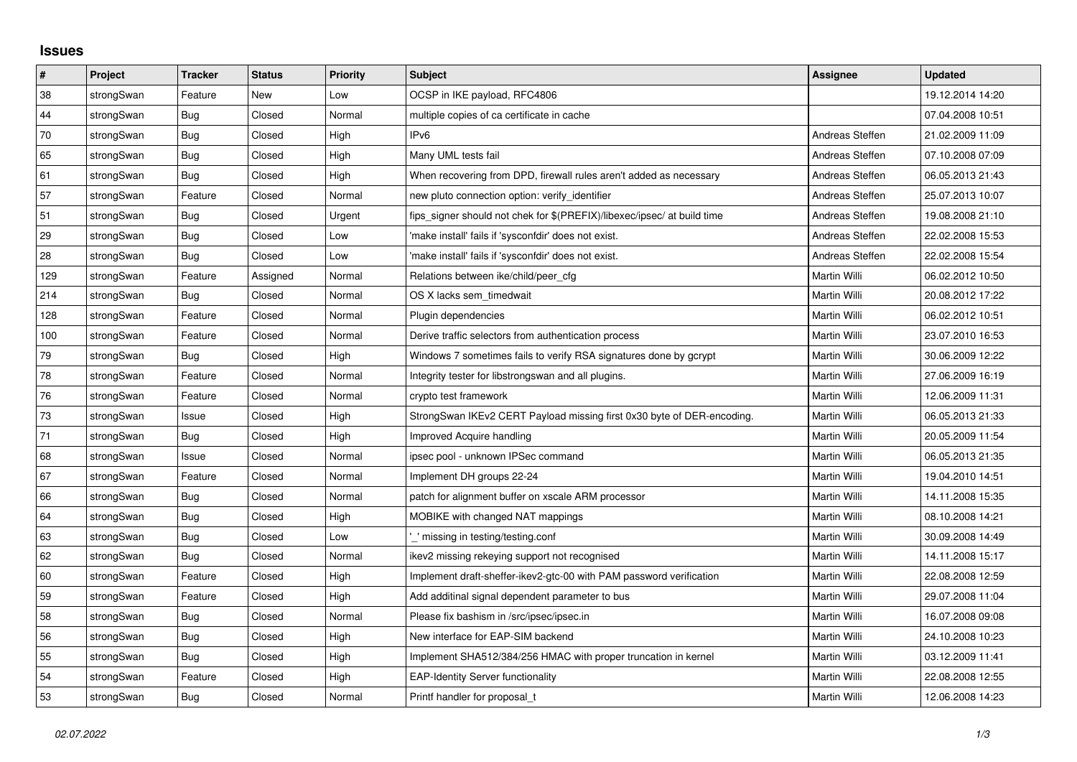## **Issues**

| $\vert$ # | Project    | <b>Tracker</b> | <b>Status</b> | Priority | <b>Subject</b>                                                          | <b>Assignee</b>     | <b>Updated</b>   |
|-----------|------------|----------------|---------------|----------|-------------------------------------------------------------------------|---------------------|------------------|
| 38        | strongSwan | Feature        | <b>New</b>    | Low      | OCSP in IKE payload, RFC4806                                            |                     | 19.12.2014 14:20 |
| 44        | strongSwan | <b>Bug</b>     | Closed        | Normal   | multiple copies of ca certificate in cache                              |                     | 07.04.2008 10:51 |
| 70        | strongSwan | Bug            | Closed        | High     | IPv6                                                                    | Andreas Steffen     | 21.02.2009 11:09 |
| 65        | strongSwan | <b>Bug</b>     | Closed        | High     | Many UML tests fail                                                     | Andreas Steffen     | 07.10.2008 07:09 |
| 61        | strongSwan | <b>Bug</b>     | Closed        | High     | When recovering from DPD, firewall rules aren't added as necessary      | Andreas Steffen     | 06.05.2013 21:43 |
| 57        | strongSwan | Feature        | Closed        | Normal   | new pluto connection option: verify identifier                          | Andreas Steffen     | 25.07.2013 10:07 |
| 51        | strongSwan | Bug            | Closed        | Urgent   | fips_signer should not chek for \$(PREFIX)/libexec/ipsec/ at build time | Andreas Steffen     | 19.08.2008 21:10 |
| 29        | strongSwan | Bug            | Closed        | Low      | 'make install' fails if 'sysconfdir' does not exist.                    | Andreas Steffen     | 22.02.2008 15:53 |
| 28        | strongSwan | <b>Bug</b>     | Closed        | Low      | 'make install' fails if 'sysconfdir' does not exist.                    | Andreas Steffen     | 22.02.2008 15:54 |
| 129       | strongSwan | Feature        | Assigned      | Normal   | Relations between ike/child/peer_cfg                                    | Martin Willi        | 06.02.2012 10:50 |
| 214       | strongSwan | Bug            | Closed        | Normal   | OS X lacks sem timedwait                                                | Martin Willi        | 20.08.2012 17:22 |
| 128       | strongSwan | Feature        | Closed        | Normal   | Plugin dependencies                                                     | Martin Willi        | 06.02.2012 10:51 |
| 100       | strongSwan | Feature        | Closed        | Normal   | Derive traffic selectors from authentication process                    | <b>Martin Willi</b> | 23.07.2010 16:53 |
| 79        | strongSwan | Bug            | Closed        | High     | Windows 7 sometimes fails to verify RSA signatures done by gcrypt       | Martin Willi        | 30.06.2009 12:22 |
| 78        | strongSwan | Feature        | Closed        | Normal   | Integrity tester for libstrongswan and all plugins.                     | Martin Willi        | 27.06.2009 16:19 |
| 76        | strongSwan | Feature        | Closed        | Normal   | crypto test framework                                                   | <b>Martin Willi</b> | 12.06.2009 11:31 |
| 73        | strongSwan | Issue          | Closed        | High     | StrongSwan IKEv2 CERT Payload missing first 0x30 byte of DER-encoding.  | Martin Willi        | 06.05.2013 21:33 |
| 71        | strongSwan | Bug            | Closed        | High     | <b>Improved Acquire handling</b>                                        | Martin Willi        | 20.05.2009 11:54 |
| 68        | strongSwan | Issue          | Closed        | Normal   | ipsec pool - unknown IPSec command                                      | Martin Willi        | 06.05.2013 21:35 |
| 67        | strongSwan | Feature        | Closed        | Normal   | Implement DH groups 22-24                                               | Martin Willi        | 19.04.2010 14:51 |
| 66        | strongSwan | <b>Bug</b>     | Closed        | Normal   | patch for alignment buffer on xscale ARM processor                      | Martin Willi        | 14.11.2008 15:35 |
| 64        | strongSwan | Bug            | Closed        | High     | MOBIKE with changed NAT mappings                                        | Martin Willi        | 08.10.2008 14:21 |
| 63        | strongSwan | Bug            | Closed        | Low      | missing in testing/testing.conf                                         | Martin Willi        | 30.09.2008 14:49 |
| 62        | strongSwan | Bug            | Closed        | Normal   | ikev2 missing rekeying support not recognised                           | Martin Willi        | 14.11.2008 15:17 |
| 60        | strongSwan | Feature        | Closed        | High     | Implement draft-sheffer-ikev2-gtc-00 with PAM password verification     | Martin Willi        | 22.08.2008 12:59 |
| 59        | strongSwan | Feature        | Closed        | High     | Add additinal signal dependent parameter to bus                         | Martin Willi        | 29.07.2008 11:04 |
| 58        | strongSwan | <b>Bug</b>     | Closed        | Normal   | Please fix bashism in /src/ipsec/ipsec.in                               | Martin Willi        | 16.07.2008 09:08 |
| 56        | strongSwan | Bug            | Closed        | High     | New interface for EAP-SIM backend                                       | Martin Willi        | 24.10.2008 10:23 |
| 55        | strongSwan | Bug            | Closed        | High     | Implement SHA512/384/256 HMAC with proper truncation in kernel          | Martin Willi        | 03.12.2009 11:41 |
| 54        | strongSwan | Feature        | Closed        | High     | <b>EAP-Identity Server functionality</b>                                | Martin Willi        | 22.08.2008 12:55 |
| 53        | strongSwan | Bug            | Closed        | Normal   | Printf handler for proposal t                                           | Martin Willi        | 12.06.2008 14:23 |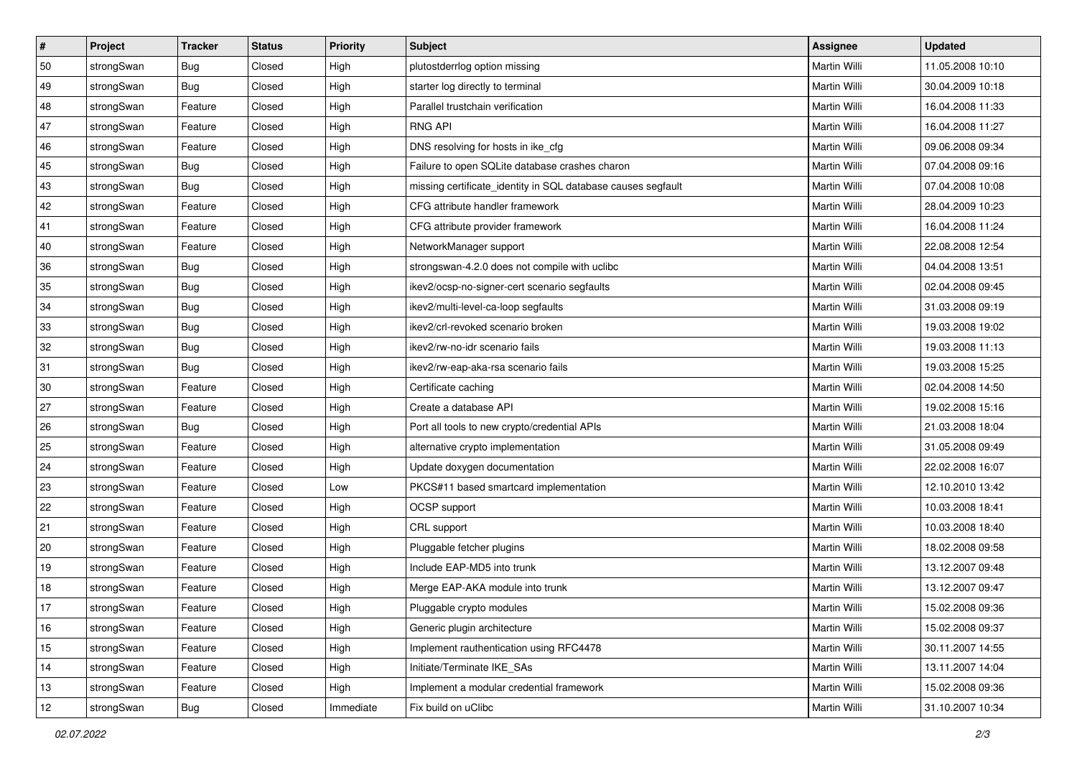| $\vert$ # | Project    | <b>Tracker</b> | <b>Status</b> | Priority  | <b>Subject</b>                                               | <b>Assignee</b>     | <b>Updated</b>   |
|-----------|------------|----------------|---------------|-----------|--------------------------------------------------------------|---------------------|------------------|
| 50        | strongSwan | <b>Bug</b>     | Closed        | High      | plutostderrlog option missing                                | Martin Willi        | 11.05.2008 10:10 |
| 49        | strongSwan | Bug            | Closed        | High      | starter log directly to terminal                             | Martin Willi        | 30.04.2009 10:18 |
| 48        | strongSwan | Feature        | Closed        | High      | Parallel trustchain verification                             | <b>Martin Willi</b> | 16.04.2008 11:33 |
| 47        | strongSwan | Feature        | Closed        | High      | <b>RNG API</b>                                               | Martin Willi        | 16.04.2008 11:27 |
| 46        | strongSwan | Feature        | Closed        | High      | DNS resolving for hosts in ike_cfg                           | Martin Willi        | 09.06.2008 09:34 |
| 45        | strongSwan | <b>Bug</b>     | Closed        | High      | Failure to open SQLite database crashes charon               | Martin Willi        | 07.04.2008 09:16 |
| 43        | strongSwan | Bug            | Closed        | High      | missing certificate_identity in SQL database causes segfault | Martin Willi        | 07.04.2008 10:08 |
| 42        | strongSwan | Feature        | Closed        | High      | CFG attribute handler framework                              | Martin Willi        | 28.04.2009 10:23 |
| 41        | strongSwan | Feature        | Closed        | High      | CFG attribute provider framework                             | Martin Willi        | 16.04.2008 11:24 |
| 40        | strongSwan | Feature        | Closed        | High      | NetworkManager support                                       | Martin Willi        | 22.08.2008 12:54 |
| 36        | strongSwan | <b>Bug</b>     | Closed        | High      | strongswan-4.2.0 does not compile with uclibc                | Martin Willi        | 04.04.2008 13:51 |
| 35        | strongSwan | <b>Bug</b>     | Closed        | High      | ikev2/ocsp-no-signer-cert scenario segfaults                 | <b>Martin Willi</b> | 02.04.2008 09:45 |
| 34        | strongSwan | Bug            | Closed        | High      | ikev2/multi-level-ca-loop segfaults                          | <b>Martin Willi</b> | 31.03.2008 09:19 |
| 33        | strongSwan | <b>Bug</b>     | Closed        | High      | ikev2/crl-revoked scenario broken                            | Martin Willi        | 19.03.2008 19:02 |
| 32        | strongSwan | Bug            | Closed        | High      | ikev2/rw-no-idr scenario fails                               | <b>Martin Willi</b> | 19.03.2008 11:13 |
| 31        | strongSwan | <b>Bug</b>     | Closed        | High      | ikev2/rw-eap-aka-rsa scenario fails                          | Martin Willi        | 19.03.2008 15:25 |
| 30        | strongSwan | Feature        | Closed        | High      | Certificate caching                                          | Martin Willi        | 02.04.2008 14:50 |
| 27        | strongSwan | Feature        | Closed        | High      | Create a database API                                        | Martin Willi        | 19.02.2008 15:16 |
| 26        | strongSwan | <b>Bug</b>     | Closed        | High      | Port all tools to new crypto/credential APIs                 | Martin Willi        | 21.03.2008 18:04 |
| 25        | strongSwan | Feature        | Closed        | High      | alternative crypto implementation                            | Martin Willi        | 31.05.2008 09:49 |
| 24        | strongSwan | Feature        | Closed        | High      | Update doxygen documentation                                 | Martin Willi        | 22.02.2008 16:07 |
| 23        | strongSwan | Feature        | Closed        | Low       | PKCS#11 based smartcard implementation                       | Martin Willi        | 12.10.2010 13:42 |
| 22        | strongSwan | Feature        | Closed        | High      | OCSP support                                                 | Martin Willi        | 10.03.2008 18:41 |
| 21        | strongSwan | Feature        | Closed        | High      | CRL support                                                  | Martin Willi        | 10.03.2008 18:40 |
| 20        | strongSwan | Feature        | Closed        | High      | Pluggable fetcher plugins                                    | Martin Willi        | 18.02.2008 09:58 |
| 19        | strongSwan | Feature        | Closed        | High      | Include EAP-MD5 into trunk                                   | <b>Martin Willi</b> | 13.12.2007 09:48 |
| 18        | strongSwan | Feature        | Closed        | High      | Merge EAP-AKA module into trunk                              | Martin Willi        | 13.12.2007 09:47 |
| $17$      | strongSwan | Feature        | Closed        | High      | Pluggable crypto modules                                     | Martin Willi        | 15.02.2008 09:36 |
| 16        | strongSwan | Feature        | Closed        | High      | Generic plugin architecture                                  | Martin Willi        | 15.02.2008 09:37 |
| 15        | strongSwan | Feature        | Closed        | High      | Implement rauthentication using RFC4478                      | Martin Willi        | 30.11.2007 14:55 |
| 14        | strongSwan | Feature        | Closed        | High      | Initiate/Terminate IKE_SAs                                   | Martin Willi        | 13.11.2007 14:04 |
| 13        | strongSwan | Feature        | Closed        | High      | Implement a modular credential framework                     | Martin Willi        | 15.02.2008 09:36 |
| 12        | strongSwan | <b>Bug</b>     | Closed        | Immediate | Fix build on uClibc                                          | Martin Willi        | 31.10.2007 10:34 |